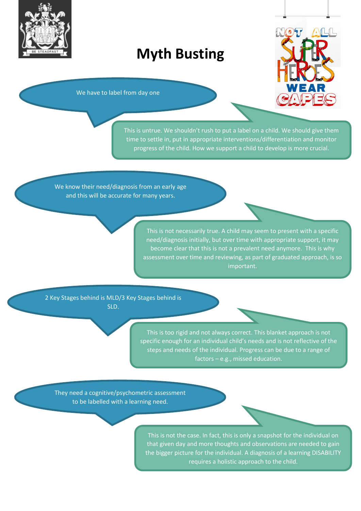

## **Myth Busting**



We have to label from day one

This is untrue. We shouldn't rush to put a label on a child. We should give them time to settle in, put in appropriate interventions/differentiation and monitor progress of the child. How we support a child to develop is more crucial.

We know their need/diagnosis from an early age and this will be accurate for many years.

> This is not necessarily true. A child may seem to present with a specific need/diagnosis initially, but over time with appropriate support, it may become clear that this is not a prevalent need anymore. This is why assessment over time and reviewing, as part of graduated approach, is so important.

2 Key Stages behind is MLD/3 Key Stages behind is SLD.

> This is too rigid and not always correct. This blanket approach is not specific enough for an individual child's needs and is not reflective of the steps and needs of the individual. Progress can be due to a range of factors – e.g., missed education.

They need a cognitive/psychometric assessment to be labelled with a learning need.

> This is not the case. In fact, this is only a snapshot for the individual on that given day and more thoughts and observations are needed to gain the bigger picture for the individual. A diagnosis of a learning DISABILITY requires a holistic approach to the child.